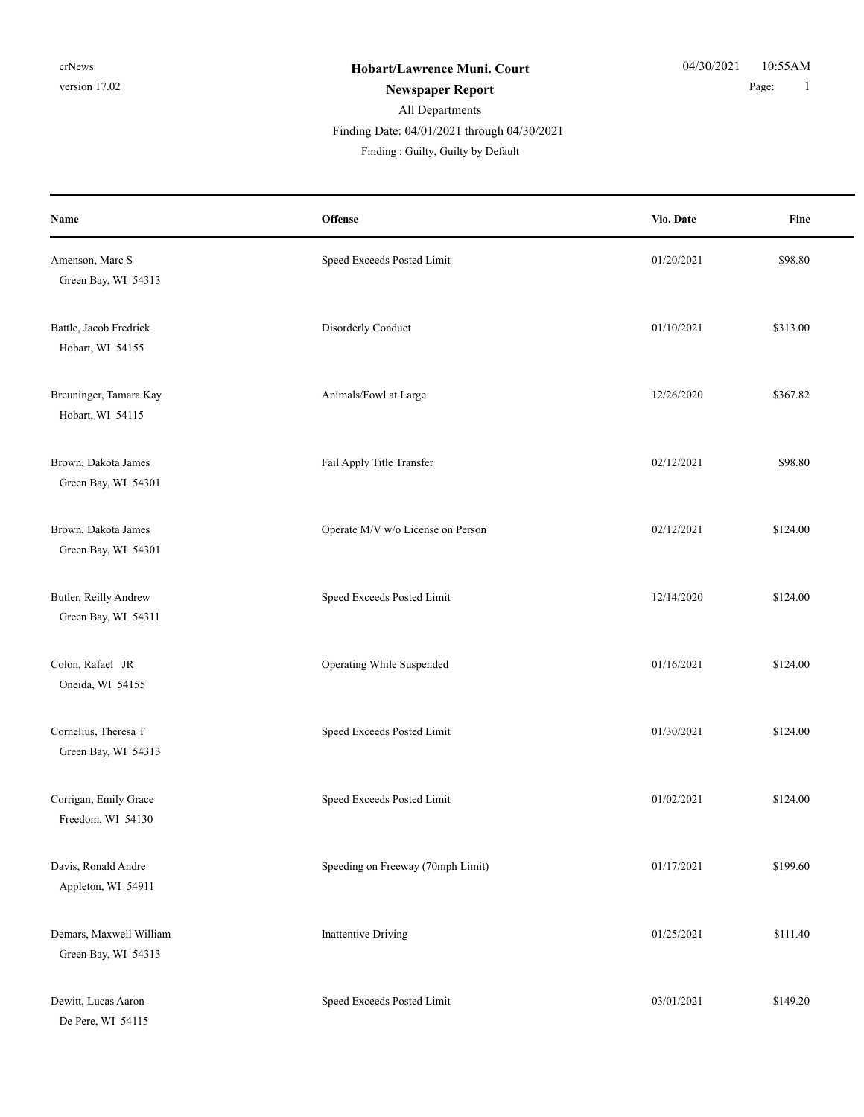#### All Departments **Newspaper Report** 1 Finding Date: 04/01/2021 through 04/30/2021

| Name                                           | Offense                           | Vio. Date  | Fine     |
|------------------------------------------------|-----------------------------------|------------|----------|
| Amenson, Marc S<br>Green Bay, WI 54313         | Speed Exceeds Posted Limit        | 01/20/2021 | \$98.80  |
| Battle, Jacob Fredrick<br>Hobart, WI 54155     | Disorderly Conduct                | 01/10/2021 | \$313.00 |
| Breuninger, Tamara Kay<br>Hobart, WI 54115     | Animals/Fowl at Large             | 12/26/2020 | \$367.82 |
| Brown, Dakota James<br>Green Bay, WI 54301     | Fail Apply Title Transfer         | 02/12/2021 | \$98.80  |
| Brown, Dakota James<br>Green Bay, WI 54301     | Operate M/V w/o License on Person | 02/12/2021 | \$124.00 |
| Butler, Reilly Andrew<br>Green Bay, WI 54311   | Speed Exceeds Posted Limit        | 12/14/2020 | \$124.00 |
| Colon, Rafael JR<br>Oneida, WI 54155           | Operating While Suspended         | 01/16/2021 | \$124.00 |
| Cornelius, Theresa T<br>Green Bay, WI 54313    | Speed Exceeds Posted Limit        | 01/30/2021 | \$124.00 |
| Corrigan, Emily Grace<br>Freedom, WI 54130     | Speed Exceeds Posted Limit        | 01/02/2021 | \$124.00 |
| Davis, Ronald Andre<br>Appleton, WI 54911      | Speeding on Freeway (70mph Limit) | 01/17/2021 | \$199.60 |
| Demars, Maxwell William<br>Green Bay, WI 54313 | <b>Inattentive Driving</b>        | 01/25/2021 | \$111.40 |
| Dewitt, Lucas Aaron<br>De Pere, WI 54115       | Speed Exceeds Posted Limit        | 03/01/2021 | \$149.20 |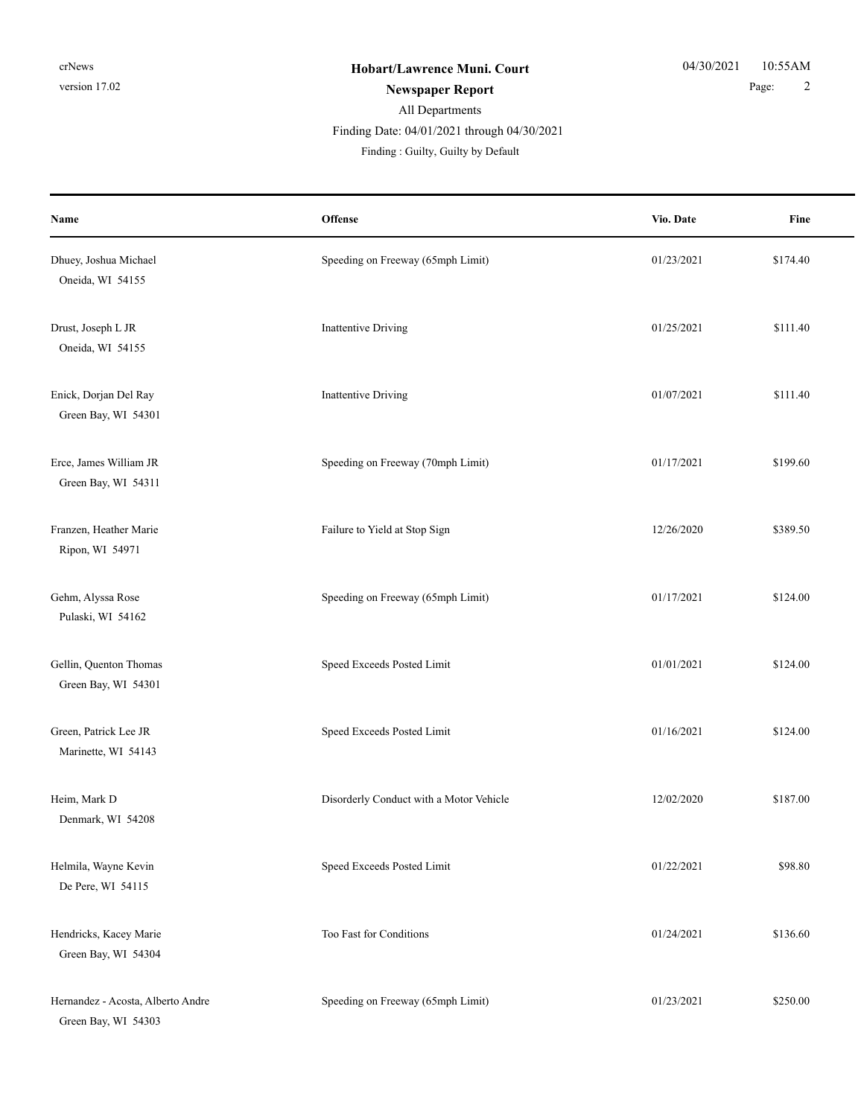## All Departments **Newspaper Report** 2 Finding Date: 04/01/2021 through 04/30/2021

| Name                                                     | Offense                                 | Vio. Date  | Fine     |
|----------------------------------------------------------|-----------------------------------------|------------|----------|
| Dhuey, Joshua Michael<br>Oneida, WI 54155                | Speeding on Freeway (65mph Limit)       | 01/23/2021 | \$174.40 |
| Drust, Joseph L JR<br>Oneida, WI 54155                   | Inattentive Driving                     | 01/25/2021 | \$111.40 |
| Enick, Dorjan Del Ray<br>Green Bay, WI 54301             | Inattentive Driving                     | 01/07/2021 | \$111.40 |
| Erce, James William JR<br>Green Bay, WI 54311            | Speeding on Freeway (70mph Limit)       | 01/17/2021 | \$199.60 |
| Franzen, Heather Marie<br>Ripon, WI 54971                | Failure to Yield at Stop Sign           | 12/26/2020 | \$389.50 |
| Gehm, Alyssa Rose<br>Pulaski, WI 54162                   | Speeding on Freeway (65mph Limit)       | 01/17/2021 | \$124.00 |
| Gellin, Quenton Thomas<br>Green Bay, WI 54301            | Speed Exceeds Posted Limit              | 01/01/2021 | \$124.00 |
| Green, Patrick Lee JR<br>Marinette, WI 54143             | Speed Exceeds Posted Limit              | 01/16/2021 | \$124.00 |
| Heim, Mark D<br>Denmark, WI 54208                        | Disorderly Conduct with a Motor Vehicle | 12/02/2020 | \$187.00 |
| Helmila, Wayne Kevin<br>De Pere, WI 54115                | Speed Exceeds Posted Limit              | 01/22/2021 | \$98.80  |
| Hendricks, Kacey Marie<br>Green Bay, WI 54304            | Too Fast for Conditions                 | 01/24/2021 | \$136.60 |
| Hernandez - Acosta, Alberto Andre<br>Green Bay, WI 54303 | Speeding on Freeway (65mph Limit)       | 01/23/2021 | \$250.00 |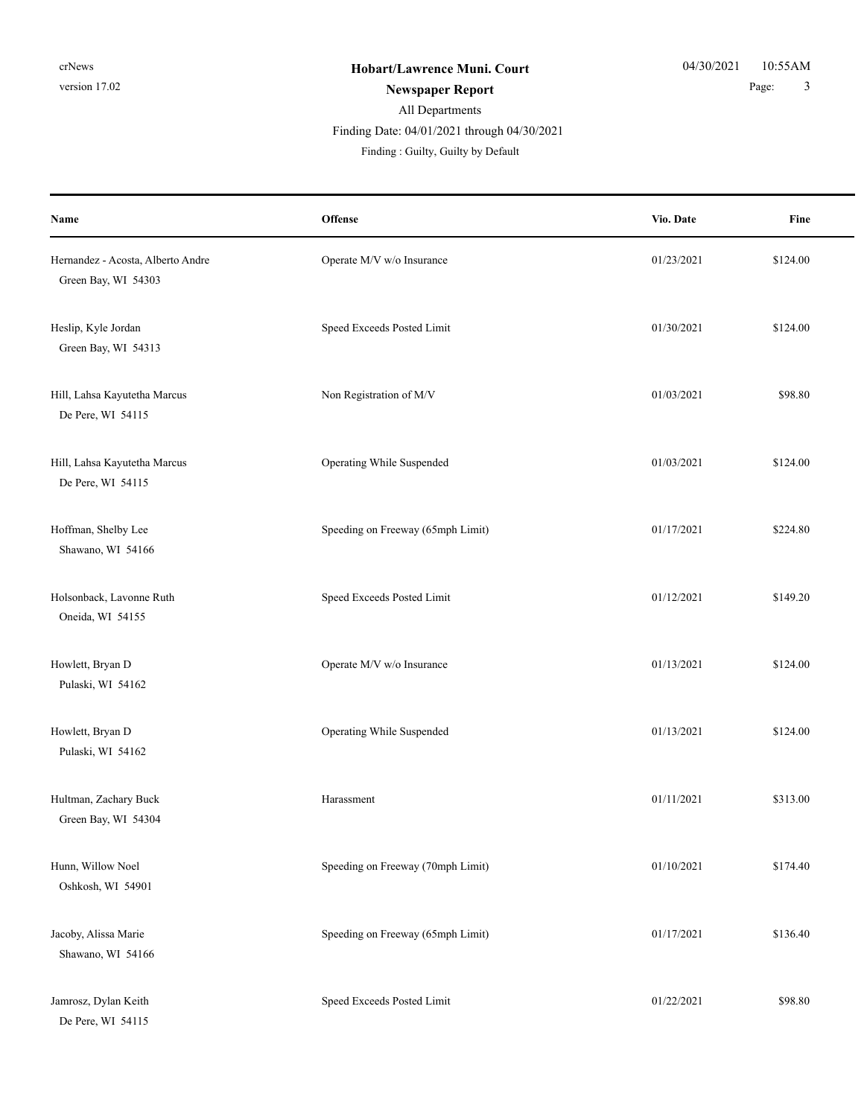Finding Date: 04/01/2021 through 04/30/2021

| Name                                                     | <b>Offense</b>                    | Vio. Date  | Fine     |
|----------------------------------------------------------|-----------------------------------|------------|----------|
| Hernandez - Acosta, Alberto Andre<br>Green Bay, WI 54303 | Operate M/V w/o Insurance         | 01/23/2021 | \$124.00 |
| Heslip, Kyle Jordan<br>Green Bay, WI 54313               | Speed Exceeds Posted Limit        | 01/30/2021 | \$124.00 |
| Hill, Lahsa Kayutetha Marcus<br>De Pere, WI 54115        | Non Registration of M/V           | 01/03/2021 | \$98.80  |
| Hill, Lahsa Kayutetha Marcus<br>De Pere, WI 54115        | Operating While Suspended         | 01/03/2021 | \$124.00 |
| Hoffman, Shelby Lee<br>Shawano, WI 54166                 | Speeding on Freeway (65mph Limit) | 01/17/2021 | \$224.80 |
| Holsonback, Lavonne Ruth<br>Oneida, WI 54155             | Speed Exceeds Posted Limit        | 01/12/2021 | \$149.20 |
| Howlett, Bryan D<br>Pulaski, WI 54162                    | Operate M/V w/o Insurance         | 01/13/2021 | \$124.00 |
| Howlett, Bryan D<br>Pulaski, WI 54162                    | Operating While Suspended         | 01/13/2021 | \$124.00 |
| Hultman, Zachary Buck<br>Green Bay, WI 54304             | Harassment                        | 01/11/2021 | \$313.00 |
| Hunn, Willow Noel<br>Oshkosh, WI 54901                   | Speeding on Freeway (70mph Limit) | 01/10/2021 | \$174.40 |
| Jacoby, Alissa Marie<br>Shawano, WI 54166                | Speeding on Freeway (65mph Limit) | 01/17/2021 | \$136.40 |
| Jamrosz, Dylan Keith<br>De Pere, WI 54115                | Speed Exceeds Posted Limit        | 01/22/2021 | \$98.80  |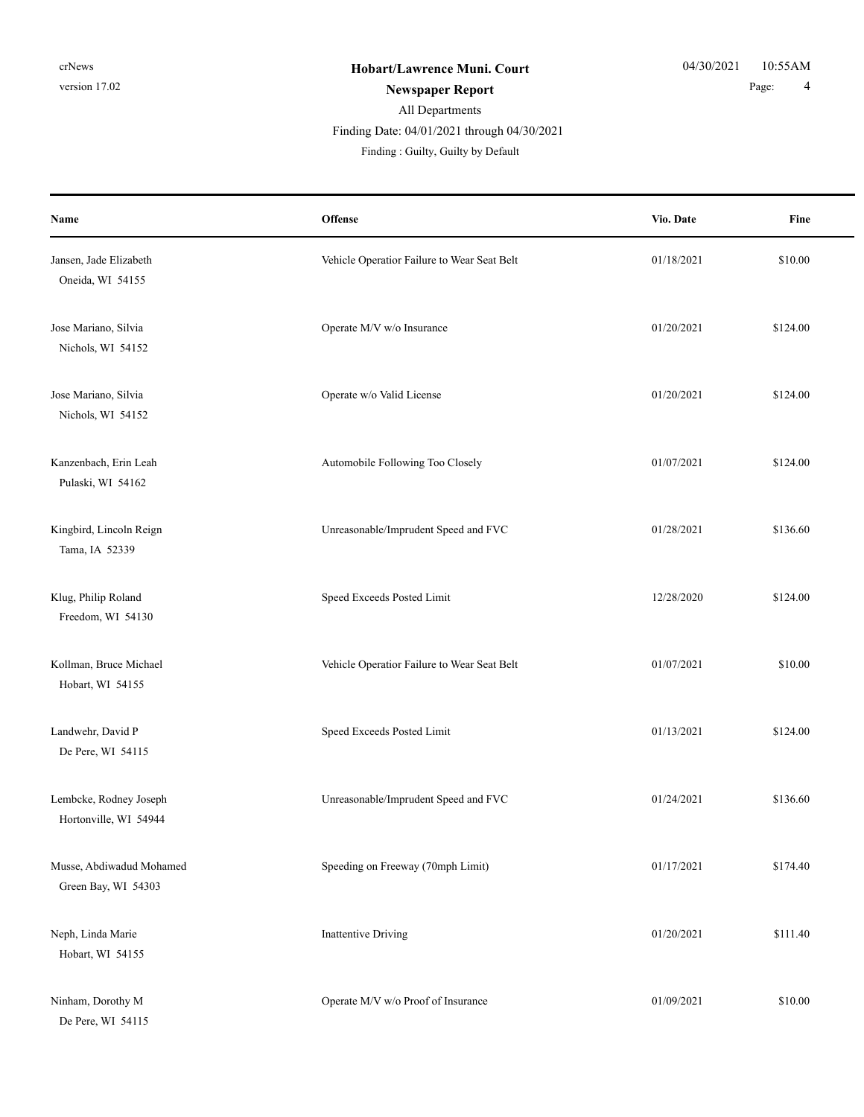#### Finding Date: 04/01/2021 through 04/30/2021

| Name                                            | <b>Offense</b>                              | Vio. Date  | Fine     |
|-------------------------------------------------|---------------------------------------------|------------|----------|
| Jansen, Jade Elizabeth<br>Oneida, WI 54155      | Vehicle Operatior Failure to Wear Seat Belt | 01/18/2021 | \$10.00  |
| Jose Mariano, Silvia<br>Nichols, WI 54152       | Operate M/V w/o Insurance                   | 01/20/2021 | \$124.00 |
| Jose Mariano, Silvia<br>Nichols, WI 54152       | Operate w/o Valid License                   | 01/20/2021 | \$124.00 |
| Kanzenbach, Erin Leah<br>Pulaski, WI 54162      | Automobile Following Too Closely            | 01/07/2021 | \$124.00 |
| Kingbird, Lincoln Reign<br>Tama, IA 52339       | Unreasonable/Imprudent Speed and FVC        | 01/28/2021 | \$136.60 |
| Klug, Philip Roland<br>Freedom, WI 54130        | Speed Exceeds Posted Limit                  | 12/28/2020 | \$124.00 |
| Kollman, Bruce Michael<br>Hobart, WI 54155      | Vehicle Operatior Failure to Wear Seat Belt | 01/07/2021 | \$10.00  |
| Landwehr, David P<br>De Pere, WI 54115          | Speed Exceeds Posted Limit                  | 01/13/2021 | \$124.00 |
| Lembcke, Rodney Joseph<br>Hortonville, WI 54944 | Unreasonable/Imprudent Speed and FVC        | 01/24/2021 | \$136.60 |
| Musse, Abdiwadud Mohamed<br>Green Bay, WI 54303 | Speeding on Freeway (70mph Limit)           | 01/17/2021 | \$174.40 |
| Neph, Linda Marie<br>Hobart, WI 54155           | <b>Inattentive Driving</b>                  | 01/20/2021 | \$111.40 |
| Ninham, Dorothy M<br>De Pere, WI 54115          | Operate M/V w/o Proof of Insurance          | 01/09/2021 | \$10.00  |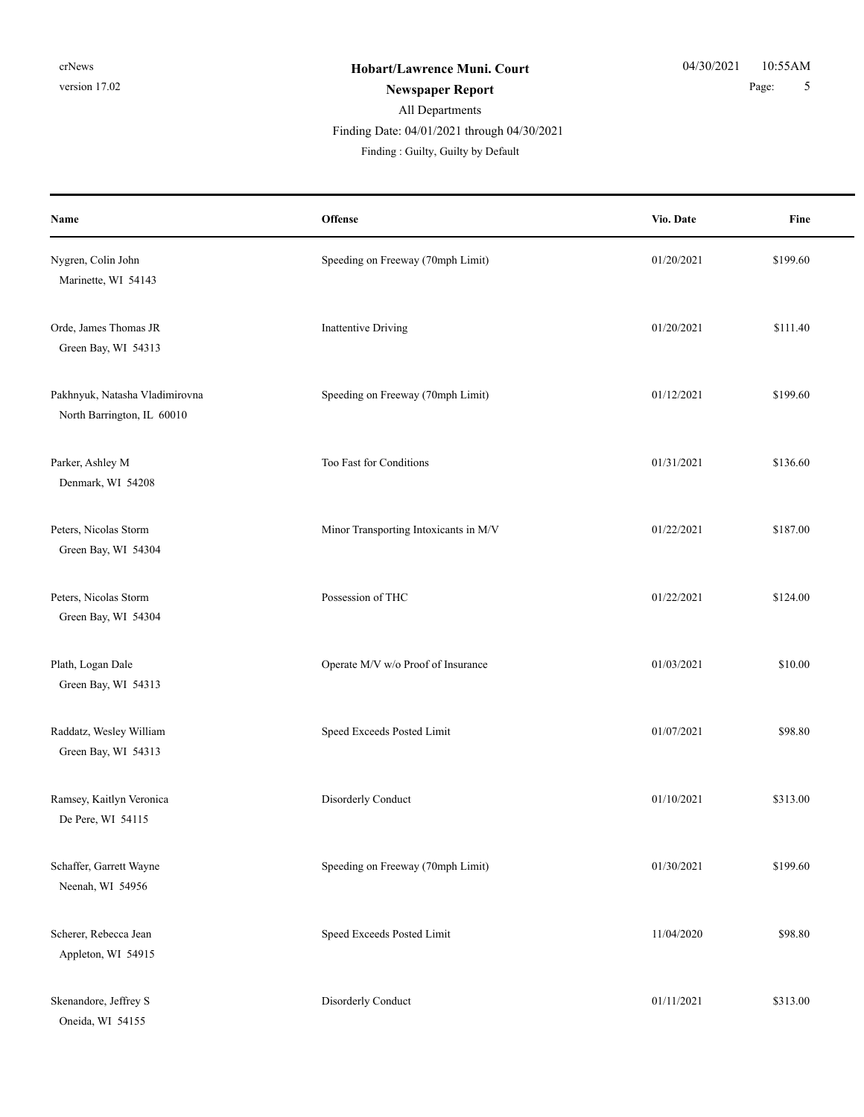Finding Date: 04/01/2021 through 04/30/2021

| Name                                                         | <b>Offense</b>                        | Vio. Date  | Fine     |
|--------------------------------------------------------------|---------------------------------------|------------|----------|
| Nygren, Colin John<br>Marinette, WI 54143                    | Speeding on Freeway (70mph Limit)     | 01/20/2021 | \$199.60 |
| Orde, James Thomas JR<br>Green Bay, WI 54313                 | <b>Inattentive Driving</b>            | 01/20/2021 | \$111.40 |
| Pakhnyuk, Natasha Vladimirovna<br>North Barrington, IL 60010 | Speeding on Freeway (70mph Limit)     | 01/12/2021 | \$199.60 |
| Parker, Ashley M<br>Denmark, WI 54208                        | Too Fast for Conditions               | 01/31/2021 | \$136.60 |
| Peters, Nicolas Storm<br>Green Bay, WI 54304                 | Minor Transporting Intoxicants in M/V | 01/22/2021 | \$187.00 |
| Peters, Nicolas Storm<br>Green Bay, WI 54304                 | Possession of THC                     | 01/22/2021 | \$124.00 |
| Plath, Logan Dale<br>Green Bay, WI 54313                     | Operate M/V w/o Proof of Insurance    | 01/03/2021 | \$10.00  |
| Raddatz, Wesley William<br>Green Bay, WI 54313               | Speed Exceeds Posted Limit            | 01/07/2021 | \$98.80  |
| Ramsey, Kaitlyn Veronica<br>De Pere, WI 54115                | Disorderly Conduct                    | 01/10/2021 | \$313.00 |
| Schaffer, Garrett Wayne<br>Neenah, WI 54956                  | Speeding on Freeway (70mph Limit)     | 01/30/2021 | \$199.60 |
| Scherer, Rebecca Jean<br>Appleton, WI 54915                  | Speed Exceeds Posted Limit            | 11/04/2020 | \$98.80  |
| Skenandore, Jeffrey S<br>Oneida, WI 54155                    | Disorderly Conduct                    | 01/11/2021 | \$313.00 |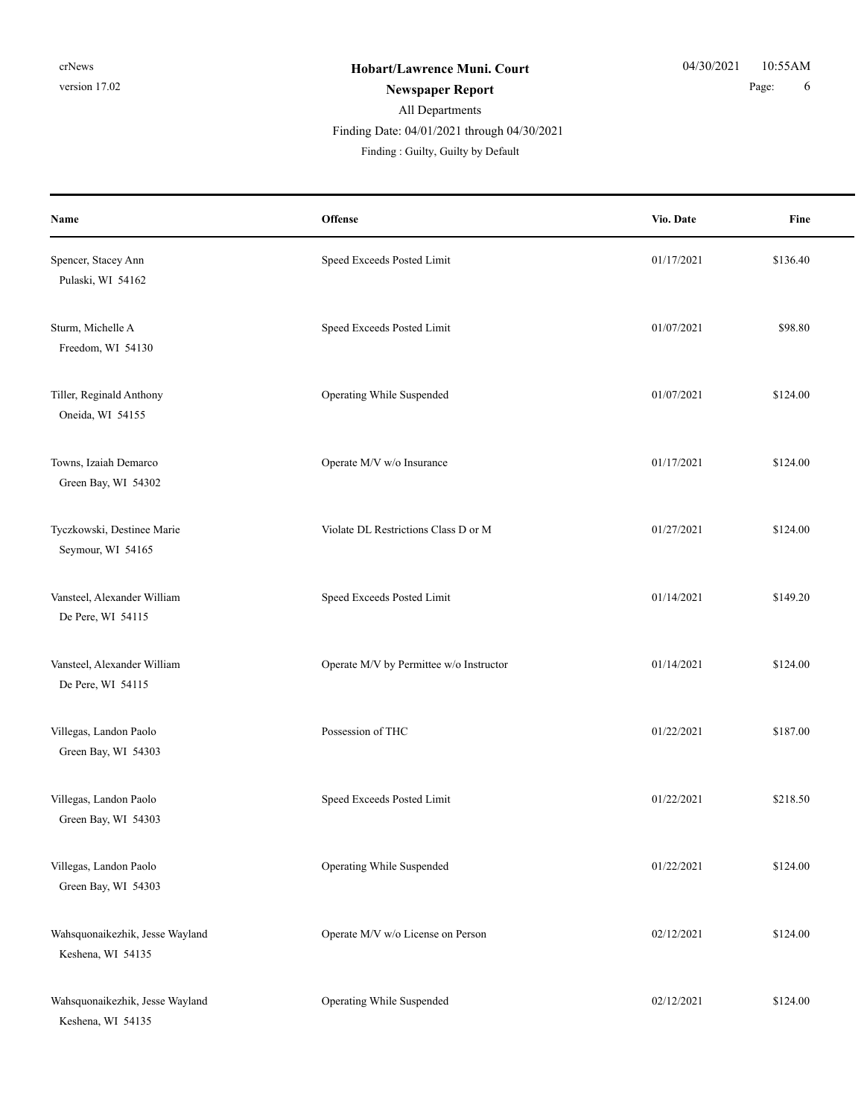#### All Departments **Newspaper Report** 6 **Page:** 6 Finding Date: 04/01/2021 through 04/30/2021

| Name                                                 | <b>Offense</b>                          | Vio. Date  | Fine     |
|------------------------------------------------------|-----------------------------------------|------------|----------|
| Spencer, Stacey Ann<br>Pulaski, WI 54162             | Speed Exceeds Posted Limit              | 01/17/2021 | \$136.40 |
| Sturm, Michelle A<br>Freedom, WI 54130               | Speed Exceeds Posted Limit              | 01/07/2021 | \$98.80  |
| Tiller, Reginald Anthony<br>Oneida, WI 54155         | Operating While Suspended               | 01/07/2021 | \$124.00 |
| Towns, Izaiah Demarco<br>Green Bay, WI 54302         | Operate M/V w/o Insurance               | 01/17/2021 | \$124.00 |
| Tyczkowski, Destinee Marie<br>Seymour, WI 54165      | Violate DL Restrictions Class D or M    | 01/27/2021 | \$124.00 |
| Vansteel, Alexander William<br>De Pere, WI 54115     | Speed Exceeds Posted Limit              | 01/14/2021 | \$149.20 |
| Vansteel, Alexander William<br>De Pere, WI 54115     | Operate M/V by Permittee w/o Instructor | 01/14/2021 | \$124.00 |
| Villegas, Landon Paolo<br>Green Bay, WI 54303        | Possession of THC                       | 01/22/2021 | \$187.00 |
| Villegas, Landon Paolo<br>Green Bay, WI 54303        | Speed Exceeds Posted Limit              | 01/22/2021 | \$218.50 |
| Villegas, Landon Paolo<br>Green Bay, WI 54303        | Operating While Suspended               | 01/22/2021 | \$124.00 |
| Wahsquonaikezhik, Jesse Wayland<br>Keshena, WI 54135 | Operate M/V w/o License on Person       | 02/12/2021 | \$124.00 |
| Wahsquonaikezhik, Jesse Wayland<br>Keshena, WI 54135 | Operating While Suspended               | 02/12/2021 | \$124.00 |